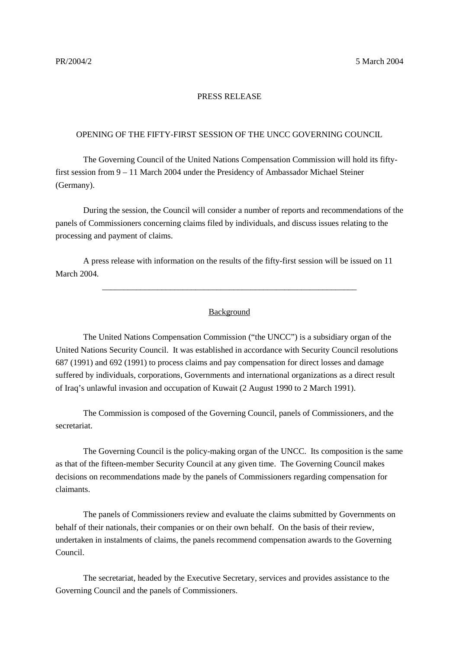## PRESS RELEASE

## OPENING OF THE FIFTY-FIRST SESSION OF THE UNCC GOVERNING COUNCIL

The Governing Council of the United Nations Compensation Commission will hold its fiftyfirst session from 9 – 11 March 2004 under the Presidency of Ambassador Michael Steiner (Germany).

During the session, the Council will consider a number of reports and recommendations of the panels of Commissioners concerning claims filed by individuals, and discuss issues relating to the processing and payment of claims.

A press release with information on the results of the fifty-first session will be issued on 11 March 2004.

## Background

\_\_\_\_\_\_\_\_\_\_\_\_\_\_\_\_\_\_\_\_\_\_\_\_\_\_\_\_\_\_\_\_\_\_\_\_\_\_\_\_\_\_\_\_\_\_\_\_\_\_\_\_\_\_\_\_\_\_\_\_

The United Nations Compensation Commission ("the UNCC") is a subsidiary organ of the United Nations Security Council. It was established in accordance with Security Council resolutions 687 (1991) and 692 (1991) to process claims and pay compensation for direct losses and damage suffered by individuals, corporations, Governments and international organizations as a direct result of Iraq's unlawful invasion and occupation of Kuwait (2 August 1990 to 2 March 1991).

The Commission is composed of the Governing Council, panels of Commissioners, and the secretariat.

The Governing Council is the policy-making organ of the UNCC. Its composition is the same as that of the fifteen-member Security Council at any given time. The Governing Council makes decisions on recommendations made by the panels of Commissioners regarding compensation for claimants.

The panels of Commissioners review and evaluate the claims submitted by Governments on behalf of their nationals, their companies or on their own behalf. On the basis of their review, undertaken in instalments of claims, the panels recommend compensation awards to the Governing Council.

The secretariat, headed by the Executive Secretary, services and provides assistance to the Governing Council and the panels of Commissioners.